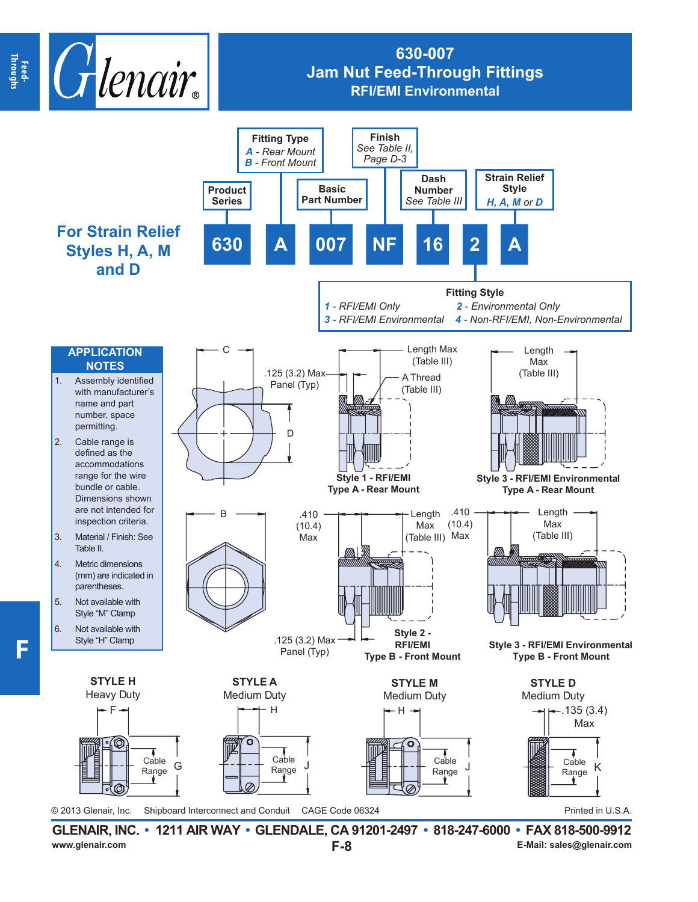

## **630-007 Jam Nut Feed-Through Fittings RFI/EMI Environmental**



**F-8 GLENAIR, INC. • 1211 AIR WAY • GLENDALE, CA 91201-2497 • 818-247-6000 • FAX 818-500-9912 E-Mail: sales@glenair.com E-Mail: sales@glenair.com E-Mail: sales@glenair.com**